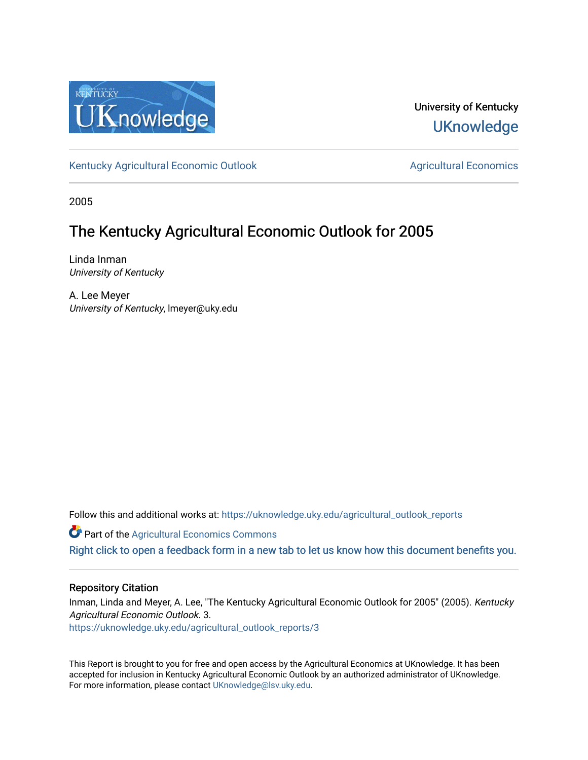

University of Kentucky **UKnowledge** 

[Kentucky Agricultural Economic Outlook](https://uknowledge.uky.edu/agricultural_outlook_reports) [Agricultural Economics](https://uknowledge.uky.edu/agecon) Agricultural Economics

2005

### The Kentucky Agricultural Economic Outlook for 2005

Linda Inman University of Kentucky

A. Lee Meyer University of Kentucky, lmeyer@uky.edu

Follow this and additional works at: [https://uknowledge.uky.edu/agricultural\\_outlook\\_reports](https://uknowledge.uky.edu/agricultural_outlook_reports?utm_source=uknowledge.uky.edu%2Fagricultural_outlook_reports%2F3&utm_medium=PDF&utm_campaign=PDFCoverPages) 

**Part of the Agricultural Economics Commons** 

[Right click to open a feedback form in a new tab to let us know how this document benefits you.](https://uky.az1.qualtrics.com/jfe/form/SV_9mq8fx2GnONRfz7)

#### Repository Citation

Inman, Linda and Meyer, A. Lee, "The Kentucky Agricultural Economic Outlook for 2005" (2005). Kentucky Agricultural Economic Outlook. 3.

[https://uknowledge.uky.edu/agricultural\\_outlook\\_reports/3](https://uknowledge.uky.edu/agricultural_outlook_reports/3?utm_source=uknowledge.uky.edu%2Fagricultural_outlook_reports%2F3&utm_medium=PDF&utm_campaign=PDFCoverPages) 

This Report is brought to you for free and open access by the Agricultural Economics at UKnowledge. It has been accepted for inclusion in Kentucky Agricultural Economic Outlook by an authorized administrator of UKnowledge. For more information, please contact [UKnowledge@lsv.uky.edu.](mailto:UKnowledge@lsv.uky.edu)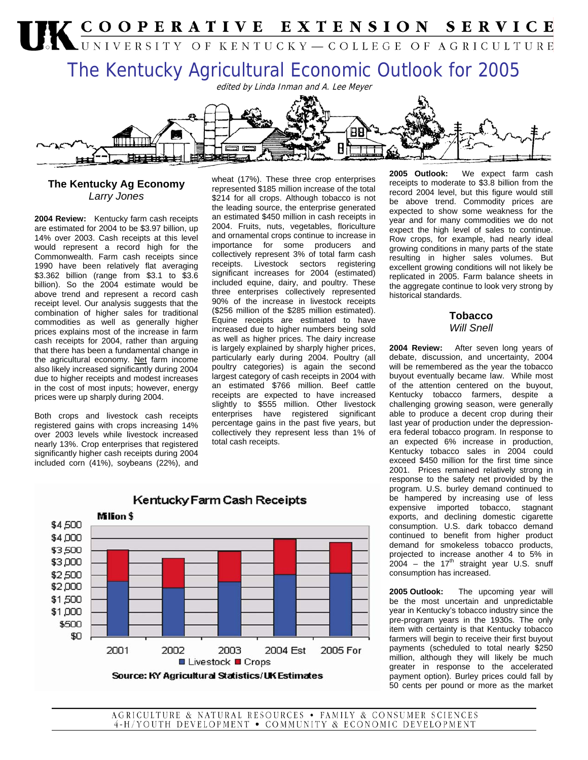# UK COOPERATIVE EXTENSION SERVICE The Kentucky Agricultural Economic Outlook for 2005 edited by Linda Inman and A. Lee Meyer



**2004 Review:** Kentucky farm cash receipts are estimated for 2004 to be \$3.97 billion, up 14% over 2003. Cash receipts at this level would represent a record high for the Commonwealth. Farm cash receipts since 1990 have been relatively flat averaging \$3.362 billion (range from \$3.1 to \$3.6 billion). So the 2004 estimate would be above trend and represent a record cash receipt level. Our analysis suggests that the combination of higher sales for traditional commodities as well as generally higher prices explains most of the increase in farm cash receipts for 2004, rather than arguing that there has been a fundamental change in the agricultural economy. Net farm income also likely increased significantly during 2004 due to higher receipts and modest increases in the cost of most inputs; however, energy prices were up sharply during 2004.

Both crops and livestock cash receipts registered gains with crops increasing 14% over 2003 levels while livestock increased nearly 13%. Crop enterprises that registered significantly higher cash receipts during 2004 included corn (41%), soybeans (22%), and

\$4,500

wheat (17%). These three crop enterprises represented \$185 million increase of the total \$214 for all crops. Although tobacco is not the leading source, the enterprise generated an estimated \$450 million in cash receipts in 2004. Fruits, nuts, vegetables, floriculture and ornamental crops continue to increase in importance for some producers and collectively represent 3% of total farm cash receipts. Livestock sectors registering significant increases for 2004 (estimated) included equine, dairy, and poultry. These three enterprises collectively represented 90% of the increase in livestock receipts (\$256 million of the \$285 million estimated). Equine receipts are estimated to have increased due to higher numbers being sold as well as higher prices. The dairy increase is largely explained by sharply higher prices, particularly early during 2004. Poultry (all poultry categories) is again the second largest category of cash receipts in 2004 with an estimated \$766 million. Beef cattle receipts are expected to have increased slightly to \$555 million. Other livestock enterprises have registered significant percentage gains in the past five years, but collectively they represent less than 1% of total cash receipts.

**2005 Outlook:** We expect farm cash receipts to moderate to \$3.8 billion from the record 2004 level, but this figure would still be above trend. Commodity prices are expected to show some weakness for the year and for many commodities we do not expect the high level of sales to continue. Row crops, for example, had nearly ideal growing conditions in many parts of the state resulting in higher sales volumes. But excellent growing conditions will not likely be replicated in 2005. Farm balance sheets in the aggregate continue to look very strong by historical standards.

> **Tobacco**  *Will Snell*

**2004 Review:** After seven long years of debate, discussion, and uncertainty, 2004 will be remembered as the year the tobacco buyout eventually became law. While most of the attention centered on the buyout, Kentucky tobacco farmers, despite a challenging growing season, were generally able to produce a decent crop during their last year of production under the depressionera federal tobacco program. In response to an expected 6% increase in production, Kentucky tobacco sales in 2004 could exceed \$450 million for the first time since 2001. Prices remained relatively strong in response to the safety net provided by the program. U.S. burley demand continued to be hampered by increasing use of less expensive imported tobacco, stagnant exports, and declining domestic cigarette consumption. U.S. dark tobacco demand continued to benefit from higher product demand for smokeless tobacco products, projected to increase another 4 to 5% in  $2004 -$  the 17<sup>th</sup> straight year U.S. snuff consumption has increased.

**2005 Outlook:** The upcoming year will be the most uncertain and unpredictable year in Kentucky's tobacco industry since the pre-program years in the 1930s. The only item with certainty is that Kentucky tobacco farmers will begin to receive their first buyout payments (scheduled to total nearly \$250 million, although they will likely be much greater in response to the accelerated payment option). Burley prices could fall by 50 cents per pound or more as the market

## Kentucky Farm Cash Receipts Million \$

\$4,000 \$3,500 \$3,000 \$2,500 \$2,000 \$1,500 \$1,000 \$500 \$0 2001 2002 2003 2004 Est 2005 For ■ Livestock ■ Crops Source: KY Agricultural Statistics/UK Estimates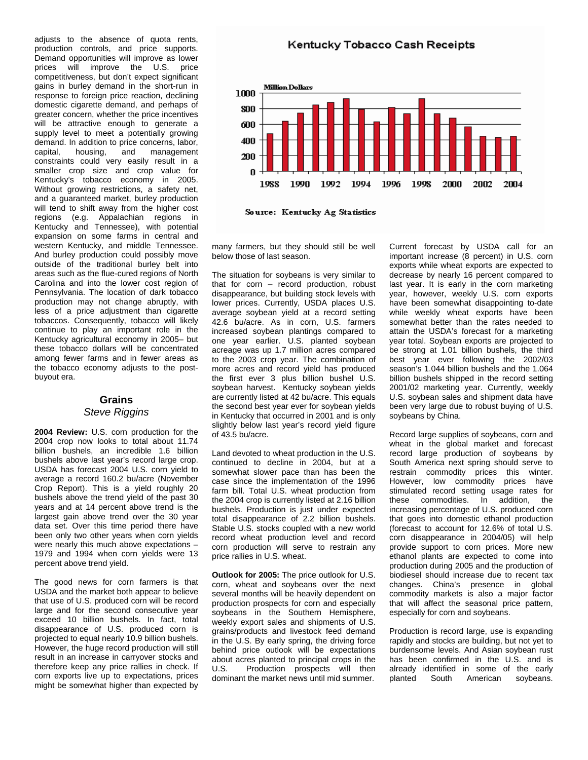adjusts to the absence of quota rents, production controls, and price supports. Demand opportunities will improve as lower prices will improve the U.S. price competitiveness, but don't expect significant gains in burley demand in the short-run in response to foreign price reaction, declining domestic cigarette demand, and perhaps of greater concern, whether the price incentives will be attractive enough to generate a supply level to meet a potentially growing demand. In addition to price concerns, labor, capital, housing, and management constraints could very easily result in a smaller crop size and crop value for Kentucky's tobacco economy in 2005. Without growing restrictions, a safety net, and a guaranteed market, burley production will tend to shift away from the higher cost regions (e.g. Appalachian regions in Kentucky and Tennessee), with potential expansion on some farms in central and western Kentucky, and middle Tennessee. And burley production could possibly move outside of the traditional burley belt into areas such as the flue-cured regions of North Carolina and into the lower cost region of Pennsylvania. The location of dark tobacco production may not change abruptly, with less of a price adjustment than cigarette tobaccos. Consequently, tobacco will likely continue to play an important role in the Kentucky agricultural economy in 2005– but these tobacco dollars will be concentrated among fewer farms and in fewer areas as the tobacco economy adjusts to the postbuyout era.

#### **Grains**  *Steve Riggins*

**2004 Review:** U.S. corn production for the 2004 crop now looks to total about 11.74 billion bushels, an incredible 1.6 billion bushels above last year's record large crop. USDA has forecast 2004 U.S. corn yield to average a record 160.2 bu/acre (November Crop Report). This is a yield roughly 20 bushels above the trend yield of the past 30 years and at 14 percent above trend is the largest gain above trend over the 30 year data set. Over this time period there have been only two other years when corn yields were nearly this much above expectations – 1979 and 1994 when corn yields were 13 percent above trend yield.

The good news for corn farmers is that USDA and the market both appear to believe that use of U.S. produced corn will be record large and for the second consecutive year exceed 10 billion bushels. In fact, total disappearance of U.S. produced corn is projected to equal nearly 10.9 billion bushels. However, the huge record production will still result in an increase in carryover stocks and therefore keep any price rallies in check. If corn exports live up to expectations, prices might be somewhat higher than expected by

Kentucky Tobacco Cash Receipts



Source: Kentucky Ag Statistics

many farmers, but they should still be well below those of last season.

The situation for soybeans is very similar to that for corn – record production, robust disappearance, but building stock levels with lower prices. Currently, USDA places U.S. average soybean yield at a record setting 42.6 bu/acre. As in corn, U.S. farmers increased soybean plantings compared to one year earlier. U.S. planted soybean acreage was up 1.7 million acres compared to the 2003 crop year. The combination of more acres and record yield has produced the first ever 3 plus billion bushel U.S. soybean harvest. Kentucky soybean yields are currently listed at 42 bu/acre. This equals the second best year ever for soybean yields in Kentucky that occurred in 2001 and is only slightly below last year's record yield figure of 43.5 bu/acre.

Land devoted to wheat production in the U.S. continued to decline in 2004, but at a somewhat slower pace than has been the case since the implementation of the 1996 farm bill. Total U.S. wheat production from the 2004 crop is currently listed at 2.16 billion bushels. Production is just under expected total disappearance of 2.2 billion bushels. Stable U.S. stocks coupled with a new world record wheat production level and record corn production will serve to restrain any price rallies in U.S. wheat.

**Outlook for 2005:** The price outlook for U.S. corn, wheat and soybeans over the next several months will be heavily dependent on production prospects for corn and especially soybeans in the Southern Hemisphere, weekly export sales and shipments of U.S. grains/products and livestock feed demand in the U.S. By early spring, the driving force behind price outlook will be expectations about acres planted to principal crops in the U.S. Production prospects will then dominant the market news until mid summer.

Current forecast by USDA call for an important increase (8 percent) in U.S. corn exports while wheat exports are expected to decrease by nearly 16 percent compared to last year. It is early in the corn marketing year, however, weekly U.S. corn exports have been somewhat disappointing to-date while weekly wheat exports have been somewhat better than the rates needed to attain the USDA's forecast for a marketing year total. Soybean exports are projected to be strong at 1.01 billion bushels, the third best year ever following the 2002/03 season's 1.044 billion bushels and the 1.064 billion bushels shipped in the record setting 2001/02 marketing year. Currently, weekly U.S. soybean sales and shipment data have been very large due to robust buying of U.S. soybeans by China.

Record large supplies of soybeans, corn and wheat in the global market and forecast record large production of soybeans by South America next spring should serve to restrain commodity prices this winter. However, low commodity prices have stimulated record setting usage rates for these commodities. In addition, the increasing percentage of U.S. produced corn that goes into domestic ethanol production (forecast to account for 12.6% of total U.S. corn disappearance in 2004/05) will help provide support to corn prices. More new ethanol plants are expected to come into production during 2005 and the production of biodiesel should increase due to recent tax changes. China's presence in global commodity markets is also a major factor that will affect the seasonal price pattern, especially for corn and soybeans.

Production is record large, use is expanding rapidly and stocks are building, but not yet to burdensome levels. And Asian soybean rust has been confirmed in the U.S. and is already identified in some of the early planted South American soybeans.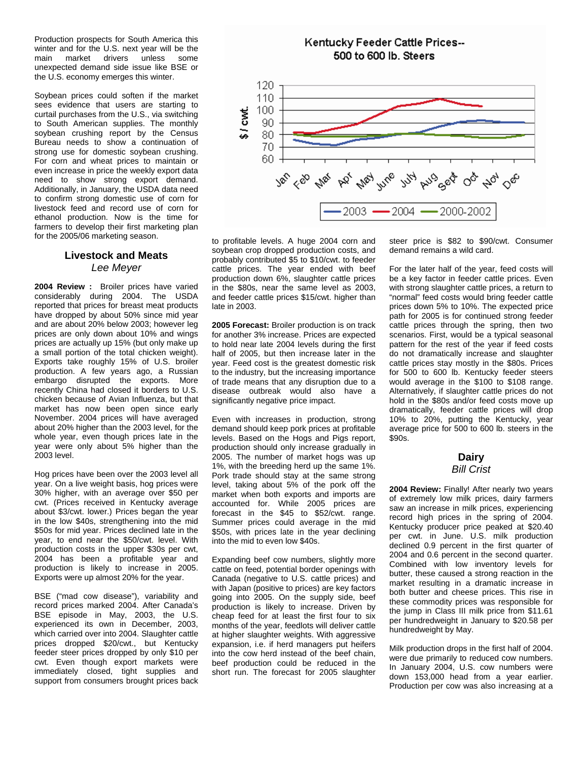Production prospects for South America this winter and for the U.S. next year will be the main market drivers unless some unexpected demand side issue like BSE or the U.S. economy emerges this winter.

Soybean prices could soften if the market sees evidence that users are starting to curtail purchases from the U.S., via switching to South American supplies. The monthly soybean crushing report by the Census Bureau needs to show a continuation of strong use for domestic soybean crushing. For corn and wheat prices to maintain or even increase in price the weekly export data need to show strong export demand. Additionally, in January, the USDA data need to confirm strong domestic use of corn for livestock feed and record use of corn for ethanol production. Now is the time for farmers to develop their first marketing plan for the 2005/06 marketing season.

#### **Livestock and Meats**  *Lee Meyer*

**2004 Review :** Broiler prices have varied considerably during 2004. The USDA reported that prices for breast meat products have dropped by about 50% since mid year and are about 20% below 2003; however leg prices are only down about 10% and wings prices are actually up 15% (but only make up a small portion of the total chicken weight). Exports take roughly 15% of U.S. broiler production. A few years ago, a Russian embargo disrupted the exports. More recently China had closed it borders to U.S. chicken because of Avian Influenza, but that market has now been open since early November. 2004 prices will have averaged about 20% higher than the 2003 level, for the whole year, even though prices late in the year were only about 5% higher than the 2003 level.

Hog prices have been over the 2003 level all year. On a live weight basis, hog prices were 30% higher, with an average over \$50 per cwt. (Prices received in Kentucky average about \$3/cwt. lower.) Prices began the year in the low \$40s, strengthening into the mid \$50s for mid year. Prices declined late in the year, to end near the \$50/cwt. level. With production costs in the upper \$30s per cwt, 2004 has been a profitable year and production is likely to increase in 2005. Exports were up almost 20% for the year.

BSE ("mad cow disease"), variability and record prices marked 2004. After Canada's BSE episode in May, 2003, the U.S. experienced its own in December, 2003, which carried over into 2004. Slaughter cattle prices dropped \$20/cwt., but Kentucky feeder steer prices dropped by only \$10 per cwt. Even though export markets were immediately closed, tight supplies and support from consumers brought prices back



to profitable levels. A huge 2004 corn and soybean crop dropped production costs, and probably contributed \$5 to \$10/cwt. to feeder cattle prices. The year ended with beef production down 6%, slaughter cattle prices in the \$80s, near the same level as 2003, and feeder cattle prices \$15/cwt. higher than late in 2003.

**2005 Forecast:** Broiler production is on track for another 3% increase. Prices are expected to hold near late 2004 levels during the first half of 2005, but then increase later in the year. Feed cost is the greatest domestic risk to the industry, but the increasing importance of trade means that any disruption due to a disease outbreak would also have a significantly negative price impact.

Even with increases in production, strong demand should keep pork prices at profitable levels. Based on the Hogs and Pigs report, production should only increase gradually in 2005. The number of market hogs was up 1%, with the breeding herd up the same 1%. Pork trade should stay at the same strong level, taking about 5% of the pork off the market when both exports and imports are accounted for. While 2005 prices are forecast in the \$45 to \$52/cwt. range. Summer prices could average in the mid \$50s, with prices late in the year declining into the mid to even low \$40s.

Expanding beef cow numbers, slightly more cattle on feed, potential border openings with Canada (negative to U.S. cattle prices) and with Japan (positive to prices) are key factors going into 2005. On the supply side, beef production is likely to increase. Driven by cheap feed for at least the first four to six months of the year, feedlots will deliver cattle at higher slaughter weights. With aggressive expansion, i.e. if herd managers put heifers into the cow herd instead of the beef chain, beef production could be reduced in the short run. The forecast for 2005 slaughter steer price is \$82 to \$90/cwt. Consumer demand remains a wild card.

For the later half of the year, feed costs will be a key factor in feeder cattle prices. Even with strong slaughter cattle prices, a return to "normal" feed costs would bring feeder cattle prices down 5% to 10%. The expected price path for 2005 is for continued strong feeder cattle prices through the spring, then two scenarios. First, would be a typical seasonal pattern for the rest of the year if feed costs do not dramatically increase and slaughter cattle prices stay mostly in the \$80s. Prices for 500 to 600 lb. Kentucky feeder steers would average in the \$100 to \$108 range. Alternatively, if slaughter cattle prices do not hold in the \$80s and/or feed costs move up dramatically, feeder cattle prices will drop 10% to 20%, putting the Kentucky, year average price for 500 to 600 lb. steers in the \$90s.

#### **Dairy**  *Bill Crist*

**2004 Review:** Finally! After nearly two years of extremely low milk prices, dairy farmers saw an increase in milk prices, experiencing record high prices in the spring of 2004. Kentucky producer price peaked at \$20.40 per cwt. in June. U.S. milk production declined 0.9 percent in the first quarter of 2004 and 0.6 percent in the second quarter. Combined with low inventory levels for butter, these caused a strong reaction in the market resulting in a dramatic increase in both butter and cheese prices. This rise in these commodity prices was responsible for the jump in Class III milk price from \$11.61 per hundredweight in January to \$20.58 per hundredweight by May.

Milk production drops in the first half of 2004. were due primarily to reduced cow numbers. In January 2004, U.S. cow numbers were down 153,000 head from a year earlier. Production per cow was also increasing at a